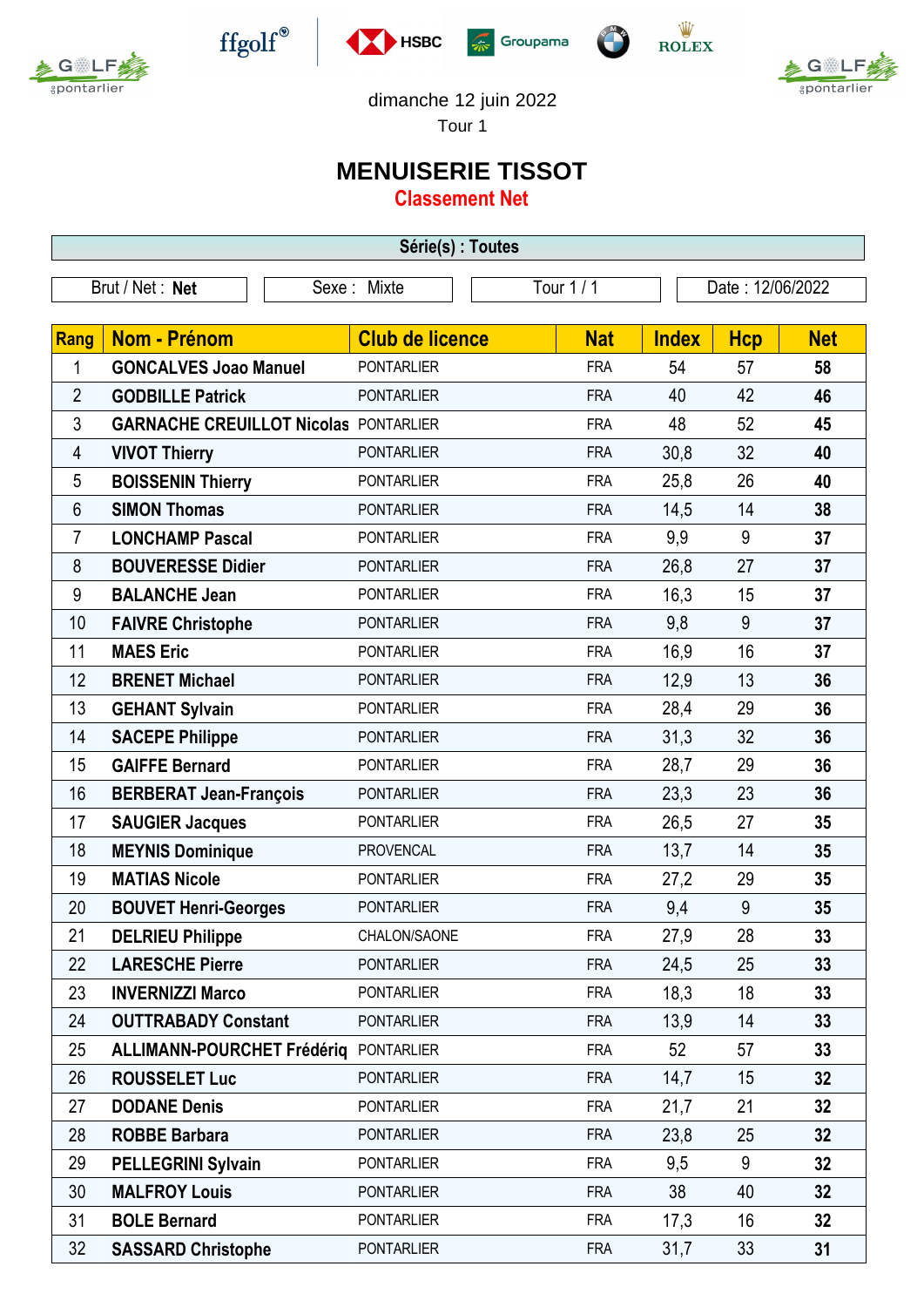



 $\operatorname{ffgolf}^{\circledast}$ 







dimanche 12 juin 2022

Tour 1

## **MENUISERIE TISSOT**

**Classement Net**

| Série(s) : Toutes |                                              |                        |            |              |                  |                 |  |  |  |
|-------------------|----------------------------------------------|------------------------|------------|--------------|------------------|-----------------|--|--|--|
| Brut / Net: Net   |                                              | Sexe: Mixte            | Tour 1 / 1 |              | Date: 12/06/2022 |                 |  |  |  |
|                   |                                              |                        |            |              |                  |                 |  |  |  |
| Rang              | Nom - Prénom                                 | <b>Club de licence</b> | <b>Nat</b> | <b>Index</b> | <b>Hcp</b>       | <b>Net</b>      |  |  |  |
| 1                 | <b>GONCALVES Joao Manuel</b>                 | <b>PONTARLIER</b>      | <b>FRA</b> | 54           | 57               | 58              |  |  |  |
| $\overline{2}$    | <b>GODBILLE Patrick</b>                      | <b>PONTARLIER</b>      | <b>FRA</b> | 40           | 42               | 46              |  |  |  |
| $\mathfrak{Z}$    | <b>GARNACHE CREUILLOT Nicolas PONTARLIER</b> |                        | <b>FRA</b> | 48           | 52               | 45              |  |  |  |
| 4                 | <b>VIVOT Thierry</b>                         | <b>PONTARLIER</b>      | <b>FRA</b> | 30,8         | 32               | 40              |  |  |  |
| 5                 | <b>BOISSENIN Thierry</b>                     | <b>PONTARLIER</b>      | <b>FRA</b> | 25,8         | 26               | 40              |  |  |  |
| 6                 | <b>SIMON Thomas</b>                          | <b>PONTARLIER</b>      | <b>FRA</b> | 14,5         | 14               | 38              |  |  |  |
| 7                 | <b>LONCHAMP Pascal</b>                       | <b>PONTARLIER</b>      | <b>FRA</b> | 9,9          | 9                | 37              |  |  |  |
| 8                 | <b>BOUVERESSE Didier</b>                     | <b>PONTARLIER</b>      | <b>FRA</b> | 26,8         | 27               | 37              |  |  |  |
| 9                 | <b>BALANCHE Jean</b>                         | <b>PONTARLIER</b>      | <b>FRA</b> | 16,3         | 15               | 37              |  |  |  |
| 10                | <b>FAIVRE Christophe</b>                     | <b>PONTARLIER</b>      | <b>FRA</b> | 9,8          | 9                | 37              |  |  |  |
| 11                | <b>MAES Eric</b>                             | <b>PONTARLIER</b>      | <b>FRA</b> | 16,9         | 16               | 37              |  |  |  |
| 12                | <b>BRENET Michael</b>                        | <b>PONTARLIER</b>      | <b>FRA</b> | 12,9         | 13               | 36              |  |  |  |
| 13                | <b>GEHANT Sylvain</b>                        | <b>PONTARLIER</b>      | <b>FRA</b> | 28,4         | 29               | 36              |  |  |  |
| 14                | <b>SACEPE Philippe</b>                       | <b>PONTARLIER</b>      | <b>FRA</b> | 31,3         | 32               | 36              |  |  |  |
| 15                | <b>GAIFFE Bernard</b>                        | <b>PONTARLIER</b>      | <b>FRA</b> | 28,7         | 29               | 36              |  |  |  |
| 16                | <b>BERBERAT Jean-François</b>                | <b>PONTARLIER</b>      | <b>FRA</b> | 23,3         | 23               | 36              |  |  |  |
| 17                | <b>SAUGIER Jacques</b>                       | <b>PONTARLIER</b>      | <b>FRA</b> | 26,5         | 27               | 35              |  |  |  |
| 18                | <b>MEYNIS Dominique</b>                      | <b>PROVENCAL</b>       | <b>FRA</b> | 13,7         | 14               | 35              |  |  |  |
| 19                | <b>MATIAS Nicole</b>                         | <b>PONTARLIER</b>      | <b>FRA</b> | 27,2         | 29               | 35              |  |  |  |
| 20                | <b>BOUVET Henri-Georges</b>                  | <b>PONTARLIER</b>      | <b>FRA</b> | 9,4          | 9                | 35              |  |  |  |
| 21                | <b>DELRIEU Philippe</b>                      | CHALON/SAONE           | <b>FRA</b> | 27,9         | 28               | 33              |  |  |  |
| 22                | <b>LARESCHE Pierre</b>                       | <b>PONTARLIER</b>      | <b>FRA</b> | 24,5         | 25               | 33              |  |  |  |
| 23                | <b>INVERNIZZI Marco</b>                      | <b>PONTARLIER</b>      | <b>FRA</b> | 18,3         | 18               | 33              |  |  |  |
| 24                | <b>OUTTRABADY Constant</b>                   | <b>PONTARLIER</b>      | <b>FRA</b> | 13,9         | 14               | 33              |  |  |  |
| 25                | ALLIMANN-POURCHET Frédérig PONTARLIER        |                        | <b>FRA</b> | 52           | 57               | 33              |  |  |  |
| 26                | <b>ROUSSELET Luc</b>                         | <b>PONTARLIER</b>      | <b>FRA</b> | 14,7         | 15               | 32              |  |  |  |
| 27                | <b>DODANE Denis</b>                          | <b>PONTARLIER</b>      | <b>FRA</b> | 21,7         | 21               | 32              |  |  |  |
| 28                | <b>ROBBE Barbara</b>                         | <b>PONTARLIER</b>      | <b>FRA</b> | 23,8         | 25               | 32              |  |  |  |
| 29                | <b>PELLEGRINI Sylvain</b>                    | <b>PONTARLIER</b>      | <b>FRA</b> | 9,5          | 9                | 32              |  |  |  |
| 30                | <b>MALFROY Louis</b>                         | <b>PONTARLIER</b>      | <b>FRA</b> | 38           | 40               | 32              |  |  |  |
| 31                | <b>BOLE Bernard</b>                          | <b>PONTARLIER</b>      | <b>FRA</b> | 17,3         | 16               | 32 <sub>2</sub> |  |  |  |
| 32                | <b>SASSARD Christophe</b>                    | <b>PONTARLIER</b>      | <b>FRA</b> | 31,7         | 33               | 31              |  |  |  |